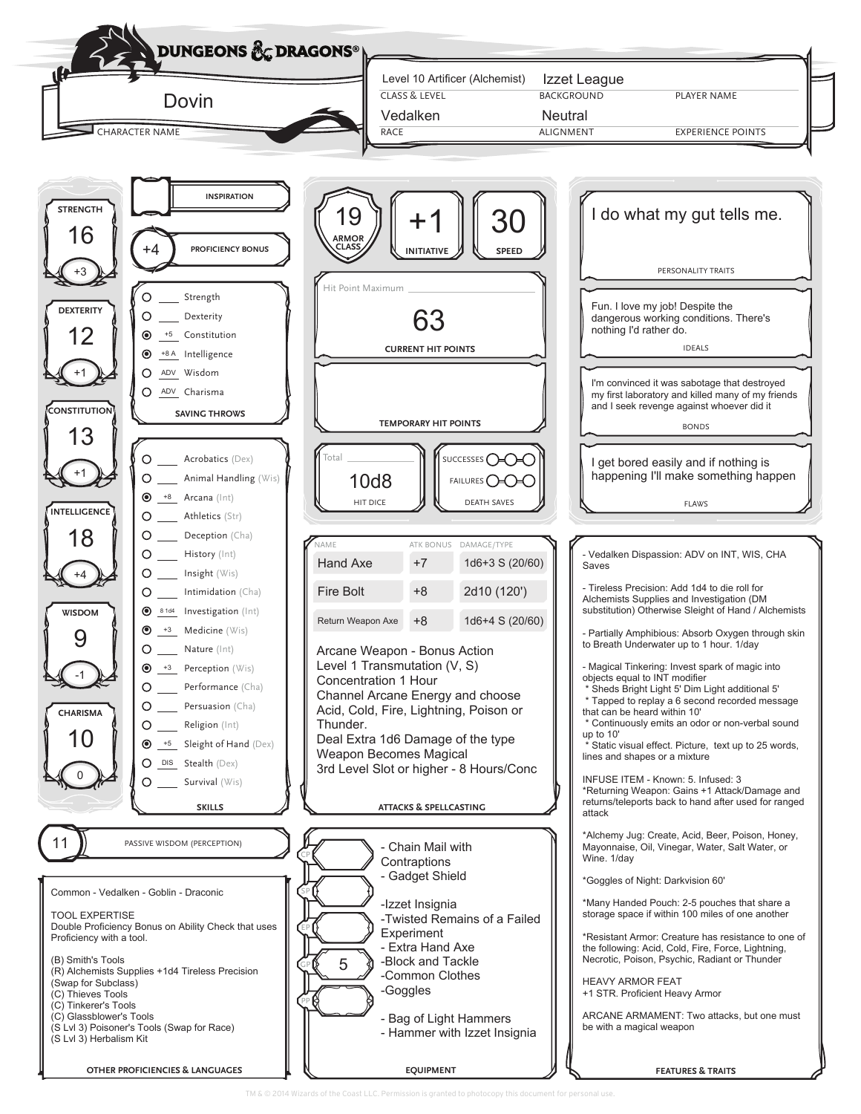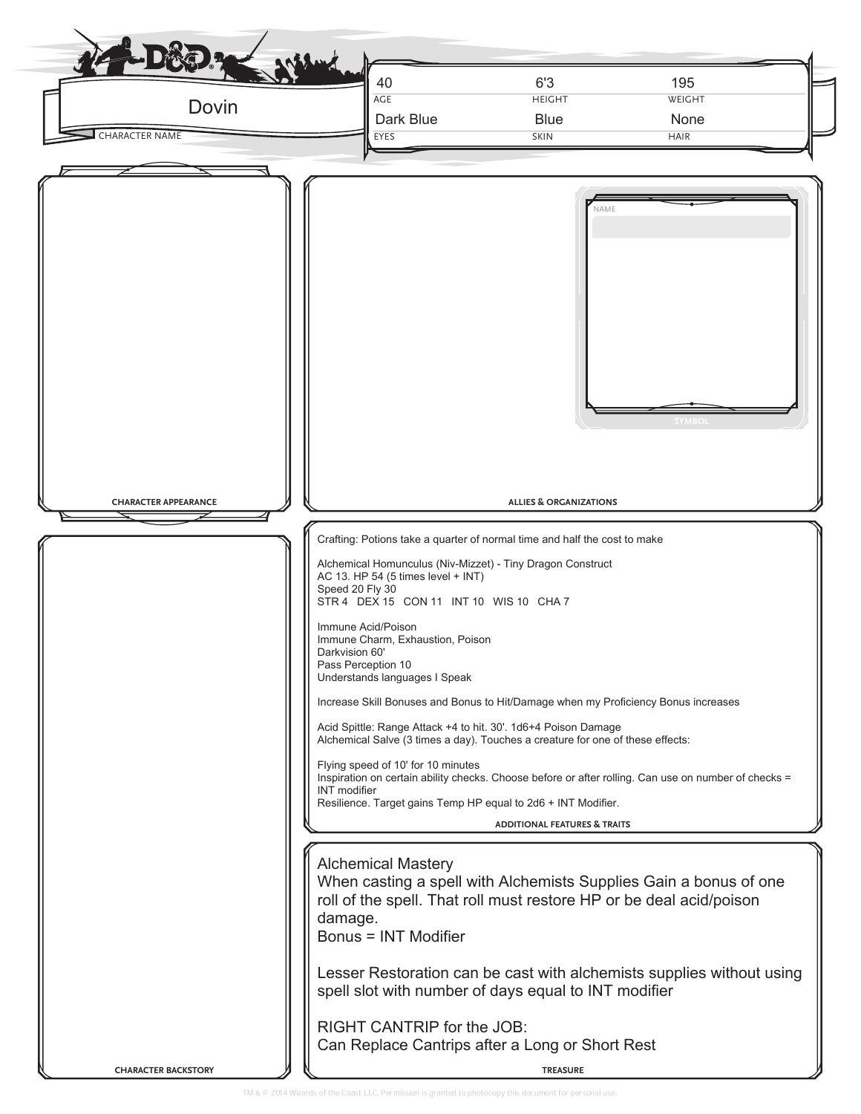| Dovin<br><b>CHARACTER NAME</b> | 6'3<br>195<br>40<br>AGE<br><b>HEIGHT</b><br>WEIGHT<br>Dark Blue<br><b>Blue</b><br>None<br>EYES<br>SKIN<br><b>HAIR</b>                                                                                                                                                                                                                                                                                                                                                                                                                                                                                                                                                                                                                                                                                                                                                                                                                                                  |
|--------------------------------|------------------------------------------------------------------------------------------------------------------------------------------------------------------------------------------------------------------------------------------------------------------------------------------------------------------------------------------------------------------------------------------------------------------------------------------------------------------------------------------------------------------------------------------------------------------------------------------------------------------------------------------------------------------------------------------------------------------------------------------------------------------------------------------------------------------------------------------------------------------------------------------------------------------------------------------------------------------------|
| <b>CHARACTER APPEARANCE</b>    | NAME<br><b>SYMBO</b><br><b>ALLIES &amp; ORGANIZATIONS</b><br>Crafting: Potions take a quarter of normal time and half the cost to make<br>Alchemical Homunculus (Niv-Mizzet) - Tiny Dragon Construct<br>AC 13. HP 54 (5 times level + INT)<br>Speed 20 Fly 30<br>STR 4 DEX 15 CON 11 INT 10 WIS 10 CHA 7<br>Immune Acid/Poison<br>Immune Charm, Exhaustion, Poison<br>Darkvision 60'<br>Pass Perception 10<br>Understands languages I Speak<br>Increase Skill Bonuses and Bonus to Hit/Damage when my Proficiency Bonus increases<br>Acid Spittle: Range Attack +4 to hit. 30'. 1d6+4 Poison Damage<br>Alchemical Salve (3 times a day). Touches a creature for one of these effects:<br>Flying speed of 10' for 10 minutes<br>Inspiration on certain ability checks. Choose before or after rolling. Can use on number of checks =<br><b>INT</b> modifier<br>Resilience. Target gains Temp HP equal to 2d6 + INT Modifier.<br><b>ADDITIONAL FEATURES &amp; TRAITS</b> |
|                                | <b>Alchemical Mastery</b><br>When casting a spell with Alchemists Supplies Gain a bonus of one<br>roll of the spell. That roll must restore HP or be deal acid/poison<br>damage.<br><b>Bonus = INT Modifier</b><br>Lesser Restoration can be cast with alchemists supplies without using<br>spell slot with number of days equal to INT modifier                                                                                                                                                                                                                                                                                                                                                                                                                                                                                                                                                                                                                       |
| <b>CHARACTER BACKSTORY</b>     | RIGHT CANTRIP for the JOB:<br>Can Replace Cantrips after a Long or Short Rest<br><b>TREASURE</b>                                                                                                                                                                                                                                                                                                                                                                                                                                                                                                                                                                                                                                                                                                                                                                                                                                                                       |